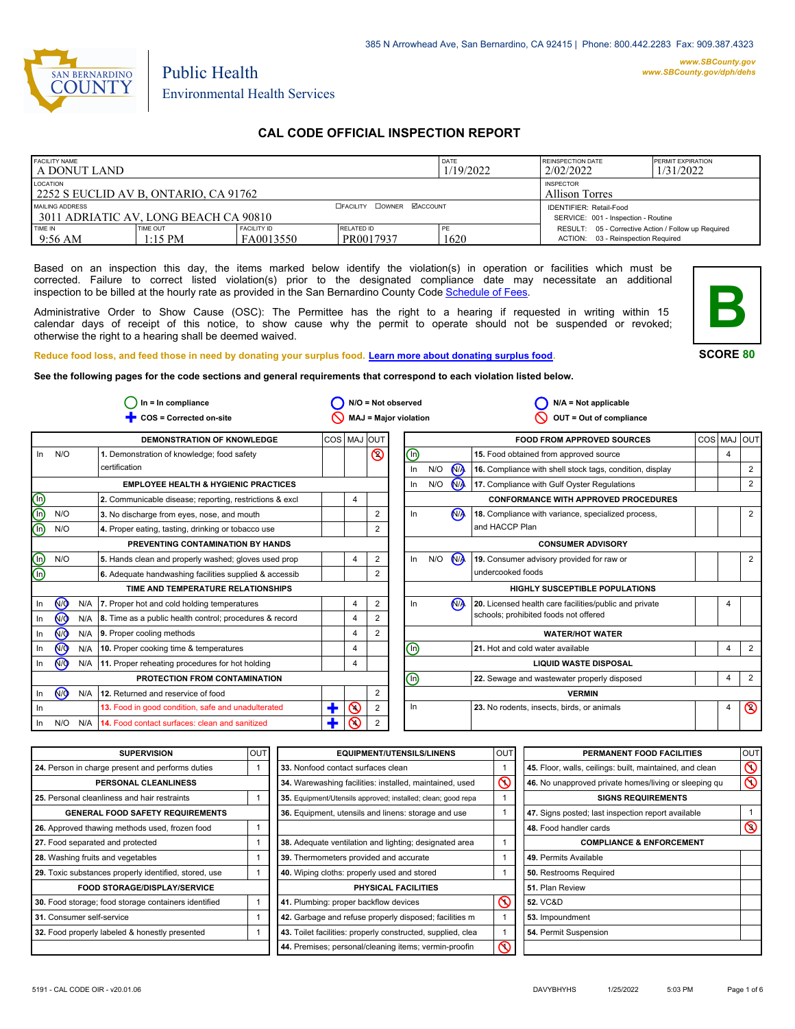

# Public Health Environmental Health Services

# **CAL CODE OFFICIAL INSPECTION REPORT**

| <b>FACILITY NAME</b><br>l A DONUT LAND                                                       |                       |                                 |                         | <b>DATE</b><br>1/19/2022 | <b>REINSPECTION DATE</b><br>2/02/2022                                                     | <b>PERMIT EXPIRATION</b><br>1/31/2022 |
|----------------------------------------------------------------------------------------------|-----------------------|---------------------------------|-------------------------|--------------------------|-------------------------------------------------------------------------------------------|---------------------------------------|
| LOCATION<br>2252 S EUCLID AV B, ONTARIO, CA 91762                                            |                       |                                 |                         |                          | <b>INSPECTOR</b><br><b>Allison Torres</b>                                                 |                                       |
| <b>OFACILITY COWNER MACCOUNT</b><br>MAILING ADDRESS<br>3011 ADRIATIC AV. LONG BEACH CA 90810 |                       |                                 |                         |                          | <b>IDENTIFIER: Retail-Food</b><br>SERVICE: 001 - Inspection - Routine                     |                                       |
| TIME IN<br>$9:56 \text{ AM}$                                                                 | TIME OUT<br>$1:15$ PM | <b>FACILITY ID</b><br>FA0013550 | RELATED ID<br>PR0017937 | 1620                     | RESULT: 05 - Corrective Action / Follow up Required<br>ACTION: 03 - Reinspection Required |                                       |

Based on an inspection this day, the items marked below identify the violation(s) in operation or facilities which must be corrected. Failure to correct listed violation(s) prior to the designated compliance date may necessitate an additional inspection to be billed at the hourly rate as provided in the San Bernardino County Co[de Schedule of Fees.](https://codelibrary.amlegal.com/codes/sanbernardino/latest/sanberncty_ca/0-0-0-122474#JD_16.0213B)

Administrative Order to Show Cause (OSC): The Permittee has the right to a hearing if requested in writing within 15 calendar days of receipt of this notice, to show cause why the permit to operate should not be suspended or revoked; otherwise the right to a hearing shall be deemed waived.



**SCORE 80**

**Reduce food loss, and feed those in need by donating your surplus f[ood. Learn more about donating surplus food.](https://wp.sbcounty.gov/dph/programs/ehs/charitable-food-service/)**

**See the following pages for the code sections and general requirements that correspond to each violation listed below.**

|                         |                |     | $In = In$ compliance                                    |              |         | $N/O = Not observed$         |                              |     |                      | $N/A = Not$ applicable                                   |   |                |
|-------------------------|----------------|-----|---------------------------------------------------------|--------------|---------|------------------------------|------------------------------|-----|----------------------|----------------------------------------------------------|---|----------------|
|                         |                |     | COS = Corrected on-site                                 |              |         | <b>MAJ = Major violation</b> |                              |     |                      | OUT = Out of compliance                                  |   |                |
|                         |                |     | <b>DEMONSTRATION OF KNOWLEDGE</b>                       | COS MAJ  OUT |         |                              |                              |     |                      | <b>FOOD FROM APPROVED SOURCES</b>                        |   | COS MAJ OUT    |
| In                      | N/O            |     | 1. Demonstration of knowledge; food safety              |              |         | $\circledcirc$               | ℗                            |     |                      | 15. Food obtained from approved source                   | 4 |                |
|                         |                |     | certification                                           |              |         |                              | In                           | N/O | N <sub>A</sub>       | 16. Compliance with shell stock tags, condition, display |   | $\overline{2}$ |
|                         |                |     | <b>EMPLOYEE HEALTH &amp; HYGIENIC PRACTICES</b>         |              |         |                              | In                           | N/O | N <sub>A</sub>       | 17. Compliance with Gulf Oyster Regulations              |   | $\overline{2}$ |
| <u>මල</u>               |                |     | 2. Communicable disease; reporting, restrictions & excl |              | 4       |                              |                              |     |                      | <b>CONFORMANCE WITH APPROVED PROCEDURES</b>              |   |                |
|                         | N/O            |     | 3. No discharge from eyes, nose, and mouth              |              |         | 2                            | In                           |     | N <sub>A</sub>       | 18. Compliance with variance, specialized process,       |   | 2              |
| ௵                       | N/O            |     | 4. Proper eating, tasting, drinking or tobacco use      |              |         | 2                            |                              |     |                      | and HACCP Plan                                           |   |                |
|                         |                |     | PREVENTING CONTAMINATION BY HANDS                       |              |         |                              |                              |     |                      | <b>CONSUMER ADVISORY</b>                                 |   |                |
| $\bigcirc$              | N/O            |     | 5. Hands clean and properly washed; gloves used prop    |              | 4       | 2                            | In                           | N/O | <b>N<sub>A</sub></b> | 19. Consumer advisory provided for raw or                |   | $\overline{2}$ |
| $\overline{\mathbb{O}}$ |                |     | 6. Adequate handwashing facilities supplied & accessib  |              |         |                              |                              |     |                      | undercooked foods                                        |   |                |
|                         |                |     | TIME AND TEMPERATURE RELATIONSHIPS                      |              |         |                              |                              |     |                      | HIGHLY SUSCEPTIBLE POPULATIONS                           |   |                |
| In                      | N <sub>Q</sub> | N/A | 7. Proper hot and cold holding temperatures             |              | 4       | 2                            | In                           |     | N <sub>A</sub>       | 20. Licensed health care facilities/public and private   | 4 |                |
| In.                     | <b>√</b>       | N/A | 8. Time as a public health control; procedures & record |              | 4       |                              |                              |     |                      | schools; prohibited foods not offered                    |   |                |
| In                      | ∞              | N/A | 9. Proper cooling methods                               |              | 4       | 2                            |                              |     |                      | <b>WATER/HOT WATER</b>                                   |   |                |
| In.                     | ∞              | N/A | 10. Proper cooking time & temperatures                  |              | 4       |                              | ℗                            |     |                      | 21. Hot and cold water available                         | 4 | 2              |
| In                      | <b>MO</b>      | N/A | 11. Proper reheating procedures for hot holding         |              | 4       |                              | <b>LIQUID WASTE DISPOSAL</b> |     |                      |                                                          |   |                |
|                         |                |     | PROTECTION FROM CONTAMINATION                           |              |         |                              | ⋒                            |     |                      | 22. Sewage and wastewater properly disposed              | 4 | 2              |
| In                      | <b>NO</b>      | N/A | 12. Returned and reservice of food                      |              |         | $\overline{2}$               |                              |     |                      | <b>VERMIN</b>                                            |   |                |
| In                      |                |     | 13. Food in good condition, safe and unadulterated      | ٠            | $\odot$ | 2                            | In                           |     |                      | 23. No rodents, insects, birds, or animals               | 4 | $\circledcirc$ |
| In.                     | N/O            | N/A | 14. Food contact surfaces: clean and sanitized          | ÷            | ∾       | 2                            |                              |     |                      |                                                          |   |                |

| <b>SUPERVISION</b>                                    | <b>OUT</b> |
|-------------------------------------------------------|------------|
| 24. Person in charge present and performs duties      | 1          |
| <b>PERSONAL CLEANLINESS</b>                           |            |
| 25. Personal cleanliness and hair restraints          | 1          |
| <b>GENERAL FOOD SAFETY REQUIREMENTS</b>               |            |
| 26. Approved thawing methods used, frozen food        | 1          |
| 27. Food separated and protected                      | 1          |
| 28. Washing fruits and vegetables                     | 1          |
| 29. Toxic substances properly identified, stored, use | 1          |
| <b>FOOD STORAGE/DISPLAY/SERVICE</b>                   |            |
| 30. Food storage; food storage containers identified  | 1          |
| 31. Consumer self-service                             | 1          |
| 32. Food properly labeled & honestly presented        | 1          |

| UT           | <b>EQUIPMENT/UTENSILS/LINENS</b>                             | OUT | PERMANENT FOOD FACILITIES                                |
|--------------|--------------------------------------------------------------|-----|----------------------------------------------------------|
| 1            | 33. Nonfood contact surfaces clean                           |     | 45. Floor, walls, ceilings: built, maintained, and clean |
|              | 34. Warewashing facilities: installed, maintained, used      | ∾   | 46. No unapproved private homes/living or sleeping of    |
| 1            | 35. Equipment/Utensils approved; installed; clean; good repa |     | <b>SIGNS REQUIREMENTS</b>                                |
|              | <b>36.</b> Equipment, utensils and linens: storage and use   |     | 47. Signs posted; last inspection report available       |
| 1            |                                                              |     | 48. Food handler cards                                   |
| 1            | 38. Adequate ventilation and lighting; designated area       |     | <b>COMPLIANCE &amp; ENFORCEMENT</b>                      |
| 1            | 39. Thermometers provided and accurate                       |     | 49. Permits Available                                    |
| 1            | 40. Wiping cloths: properly used and stored                  |     | <b>50.</b> Restrooms Required                            |
|              | PHYSICAL FACILITIES                                          |     | 51. Plan Review                                          |
| $\mathbf{1}$ | 41. Plumbing: proper backflow devices                        | ல   | <b>52. VC&amp;D</b>                                      |
| 1            | 42. Garbage and refuse properly disposed; facilities m       |     | 53. Impoundment                                          |
| 1            | 43. Toilet facilities: properly constructed, supplied, clea  | 1   | 54. Permit Suspension                                    |
|              | 44. Premises; personal/cleaning items; vermin-proofin        | Ϛ   |                                                          |
|              |                                                              |     |                                                          |

| OUT | <b>EQUIPMENT/UTENSILS/LINENS</b>                             | <b>OUT</b> | PERMANENT FOOD FACILITIES                                | <b>OUT</b>        |
|-----|--------------------------------------------------------------|------------|----------------------------------------------------------|-------------------|
| 1   | 33. Nonfood contact surfaces clean                           |            | 45. Floor, walls, ceilings: built, maintained, and clean | $\mathsf{\Omega}$ |
|     | 34. Warewashing facilities: installed, maintained, used      | $\infty$   | 46. No unapproved private homes/living or sleeping qu    | $\infty$          |
|     | 35. Equipment/Utensils approved; installed; clean; good repa |            | <b>SIGNS REQUIREMENTS</b>                                |                   |
|     | 36. Equipment, utensils and linens: storage and use          |            | 47. Signs posted; last inspection report available       |                   |
|     |                                                              |            | 48. Food handler cards                                   | $\circledcirc$    |
|     | 38. Adequate ventilation and lighting; designated area       |            | <b>COMPLIANCE &amp; ENFORCEMENT</b>                      |                   |
|     | 39. Thermometers provided and accurate                       |            | 49. Permits Available                                    |                   |
|     | 40. Wiping cloths: properly used and stored                  |            | 50. Restrooms Required                                   |                   |
|     | PHYSICAL FACILITIES                                          |            | 51. Plan Review                                          |                   |
| 1   | 41. Plumbing: proper backflow devices                        | ℕ          | <b>52. VC&amp;D</b>                                      |                   |
| 1   | 42. Garbage and refuse properly disposed; facilities m       |            | 53. Impoundment                                          |                   |
|     | 43. Toilet facilities: properly constructed, supplied, clea  |            | 54. Permit Suspension                                    |                   |
|     | 44. Premises; personal/cleaning items; vermin-proofin        |            |                                                          |                   |
|     |                                                              |            |                                                          |                   |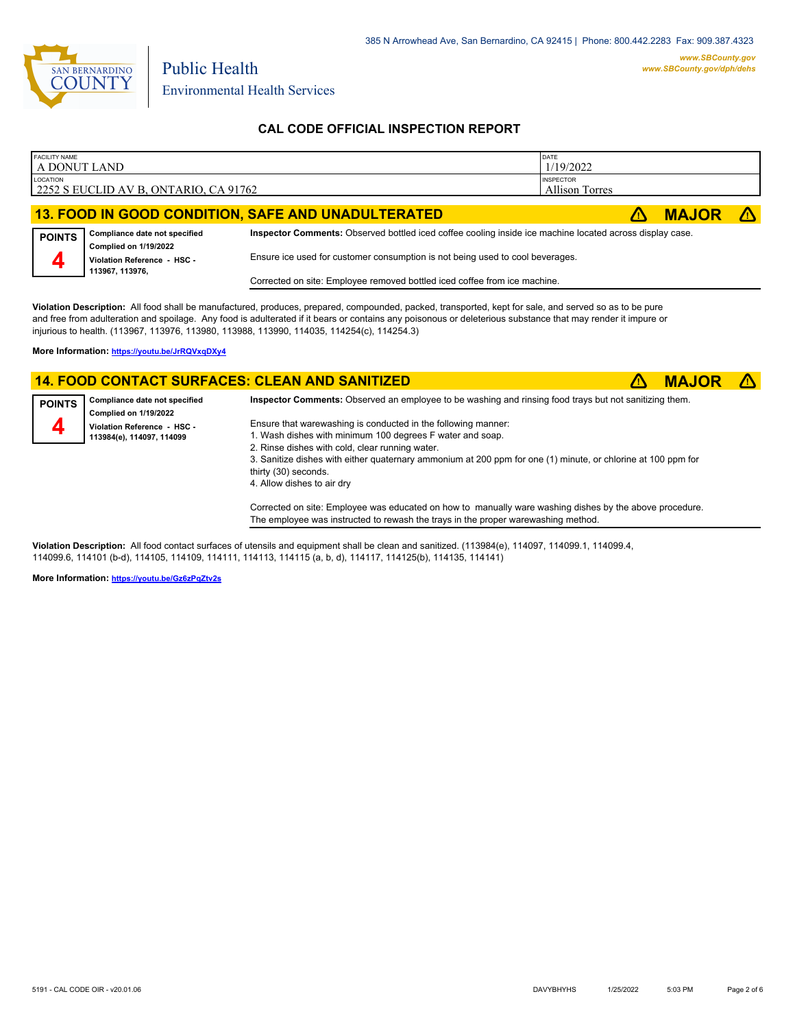

Public Health

## **CAL CODE OFFICIAL INSPECTION REPORT**

| <b>FACILITY NAME</b><br>A DONUT LAND |                                                        |                                                                                                          | DATE<br>1/19/2022                         |              |  |
|--------------------------------------|--------------------------------------------------------|----------------------------------------------------------------------------------------------------------|-------------------------------------------|--------------|--|
| LOCATION                             | 2252 S EUCLID AV B, ONTARIO, CA 91762                  |                                                                                                          | <b>INSPECTOR</b><br><b>Allison Torres</b> |              |  |
|                                      |                                                        | 13. FOOD IN GOOD CONDITION, SAFE AND UNADULTERATED                                                       |                                           | <b>MAJOR</b> |  |
| <b>POINTS</b>                        | Compliance date not specified<br>Complied on 1/19/2022 | Inspector Comments: Observed bottled iced coffee cooling inside ice machine located across display case. |                                           |              |  |
| 4                                    | Violation Reference - HSC -<br>113967, 113976,         | Ensure ice used for customer consumption is not being used to cool beverages.                            |                                           |              |  |
|                                      |                                                        | Corrected on site: Employee removed bottled iced coffee from ice machine.                                |                                           |              |  |

**Violation Description:** All food shall be manufactured, produces, prepared, compounded, packed, transported, kept for sale, and served so as to be pure and free from adulteration and spoilage. Any food is adulterated if it bears or contains any poisonous or deleterious substance that may render it impure or injurious to health. (113967, 113976, 113980, 113988, 113990, 114035, 114254(c), 114254.3)

**More Information: <https://youtu.be/JrRQVxqDXy4>**

### **14. FOOD CONTACT SURFACES: CLEAN AND SANITIZED** ê**! MAJOR** ê**!**



**Compliance date not specified Complied on 1/19/2022 Violation Reference - HSC - 113984(e), 114097, 114099 POINTS 4 Inspector Comments:** Observed an employee to be washing and rinsing food trays but not sanitizing them. Ensure that warewashing is conducted in the following manner: 1. Wash dishes with minimum 100 degrees F water and soap. 2. Rinse dishes with cold, clear running water. 3. Sanitize dishes with either quaternary ammonium at 200 ppm for one (1) minute, or chlorine at 100 ppm for thirty (30) seconds. 4. Allow dishes to air dry

> Corrected on site: Employee was educated on how to manually ware washing dishes by the above procedure. The employee was instructed to rewash the trays in the proper warewashing method.

**Violation Description:** All food contact surfaces of utensils and equipment shall be clean and sanitized. (113984(e), 114097, 114099.1, 114099.4, 114099.6, 114101 (b-d), 114105, 114109, 114111, 114113, 114115 (a, b, d), 114117, 114125(b), 114135, 114141)

**More Information: <https://youtu.be/Gz6zPqZtv2s>**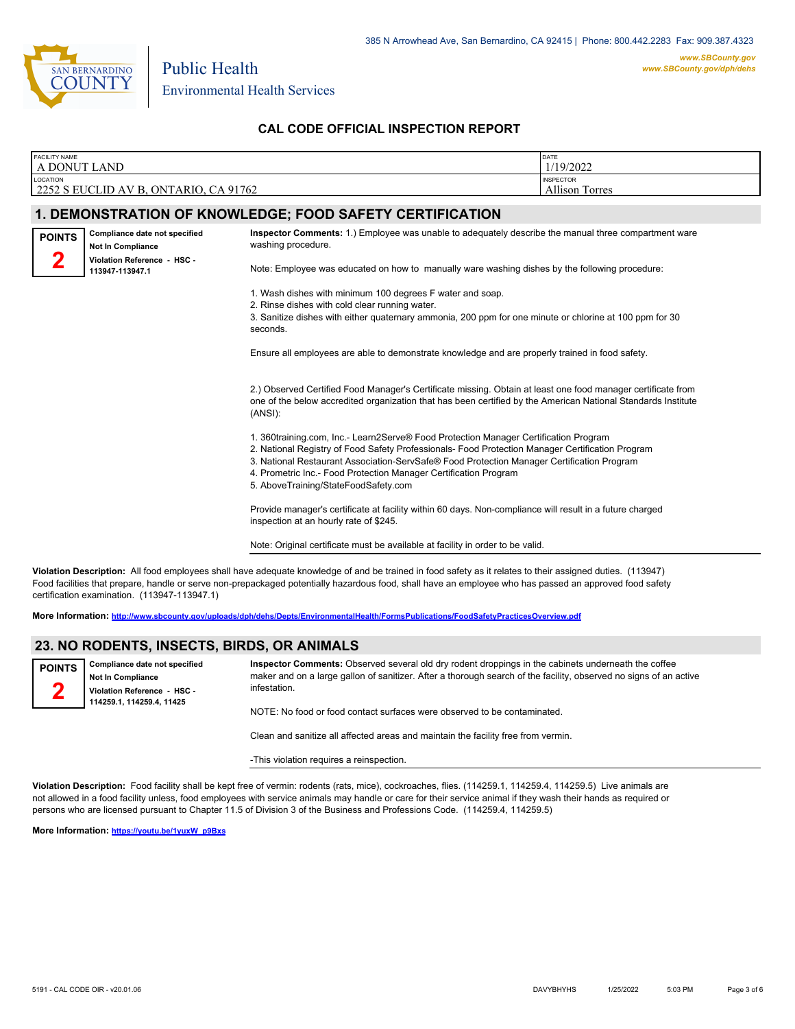

Public Health

## **CAL CODE OFFICIAL INSPECTION REPORT**

| <b>FACILITY NAME</b><br>A DONUT LAND |                                                           |                                                                                                                                                                                                                                                                                                                                                                                                    | DATE<br>1/19/2022                  |
|--------------------------------------|-----------------------------------------------------------|----------------------------------------------------------------------------------------------------------------------------------------------------------------------------------------------------------------------------------------------------------------------------------------------------------------------------------------------------------------------------------------------------|------------------------------------|
| LOCATION                             | 2252 S EUCLID AV B, ONTARIO, CA 91762                     |                                                                                                                                                                                                                                                                                                                                                                                                    | <b>INSPECTOR</b><br>Allison Torres |
|                                      |                                                           | 1. DEMONSTRATION OF KNOWLEDGE; FOOD SAFETY CERTIFICATION                                                                                                                                                                                                                                                                                                                                           |                                    |
| <b>POINTS</b>                        | Compliance date not specified<br><b>Not In Compliance</b> | Inspector Comments: 1.) Employee was unable to adequately describe the manual three compartment ware<br>washing procedure.                                                                                                                                                                                                                                                                         |                                    |
|                                      | Violation Reference - HSC -<br>113947-113947.1            | Note: Employee was educated on how to manually ware washing dishes by the following procedure:                                                                                                                                                                                                                                                                                                     |                                    |
|                                      |                                                           | 1. Wash dishes with minimum 100 degrees F water and soap.<br>2. Rinse dishes with cold clear running water.<br>3. Sanitize dishes with either quaternary ammonia, 200 ppm for one minute or chlorine at 100 ppm for 30<br>seconds.                                                                                                                                                                 |                                    |
|                                      |                                                           | Ensure all employees are able to demonstrate knowledge and are properly trained in food safety.                                                                                                                                                                                                                                                                                                    |                                    |
|                                      |                                                           | 2.) Observed Certified Food Manager's Certificate missing. Obtain at least one food manager certificate from<br>one of the below accredited organization that has been certified by the American National Standards Institute<br>(ANSI):                                                                                                                                                           |                                    |
|                                      |                                                           | 1. 360training.com, Inc.- Learn2Serve® Food Protection Manager Certification Program<br>2. National Registry of Food Safety Professionals- Food Protection Manager Certification Program<br>3. National Restaurant Association-ServSafe® Food Protection Manager Certification Program<br>4. Prometric Inc.- Food Protection Manager Certification Program<br>5. AboveTraining/StateFoodSafety.com |                                    |
|                                      |                                                           | Provide manager's certificate at facility within 60 days. Non-compliance will result in a future charged<br>inspection at an hourly rate of \$245.                                                                                                                                                                                                                                                 |                                    |
|                                      |                                                           | Note: Original certificate must be available at facility in order to be valid.                                                                                                                                                                                                                                                                                                                     |                                    |

**Violation Description:** All food employees shall have adequate knowledge of and be trained in food safety as it relates to their assigned duties. (113947) Food facilities that prepare, handle or serve non-prepackaged potentially hazardous food, shall have an employee who has passed an approved food safety certification examination. (113947-113947.1)

**More Information: <http://www.sbcounty.gov/uploads/dph/dehs/Depts/EnvironmentalHealth/FormsPublications/FoodSafetyPracticesOverview.pdf>**

### **23. NO RODENTS, INSECTS, BIRDS, OR ANIMALS**

**Compliance date not specified Not In Compliance Violation Reference - HSC - 114259.1, 114259.4, 11425 POINTS 2**

**Inspector Comments:** Observed several old dry rodent droppings in the cabinets underneath the coffee maker and on a large gallon of sanitizer. After a thorough search of the facility, observed no signs of an active infestation.

NOTE: No food or food contact surfaces were observed to be contaminated.

Clean and sanitize all affected areas and maintain the facility free from vermin.

-This violation requires a reinspection.

**Violation Description:** Food facility shall be kept free of vermin: rodents (rats, mice), cockroaches, flies. (114259.1, 114259.4, 114259.5) Live animals are not allowed in a food facility unless, food employees with service animals may handle or care for their service animal if they wash their hands as required or persons who are licensed pursuant to Chapter 11.5 of Division 3 of the Business and Professions Code. (114259.4, 114259.5)

**More Information: [https://youtu.be/1yuxW\\_p9Bxs](https://youtu.be/1yuxW_p9Bxs)**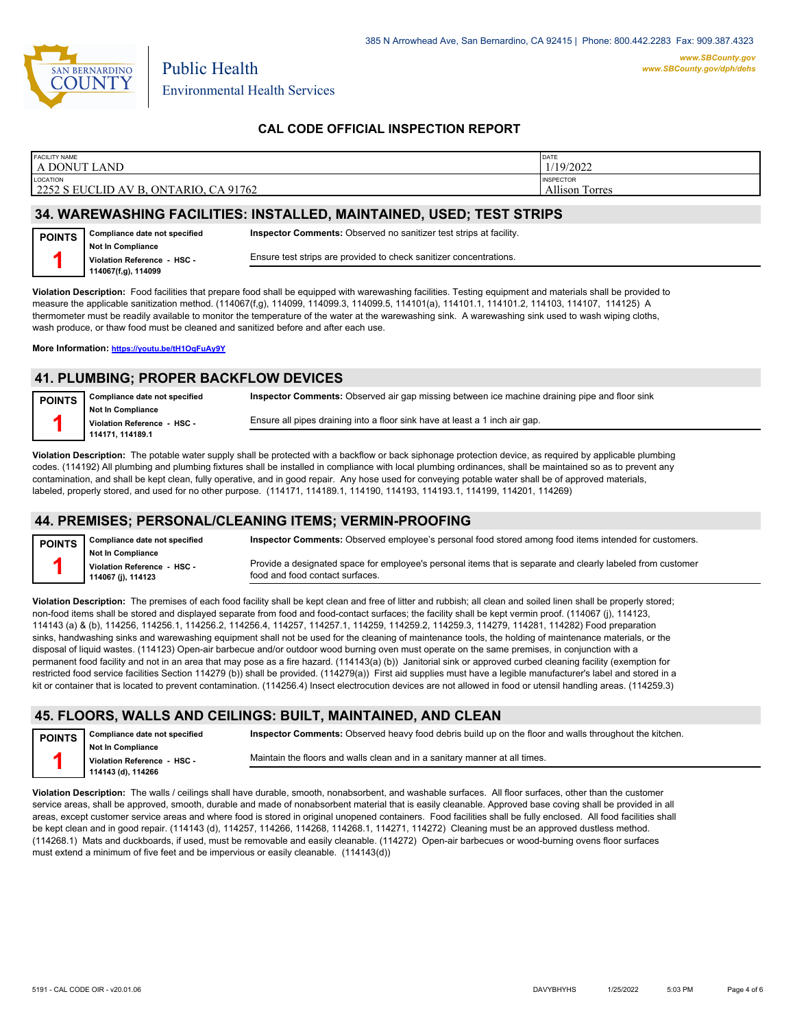

Public Health

## **CAL CODE OFFICIAL INSPECTION REPORT**

| <b>FACILITY NAME</b>                  | DATE                  |
|---------------------------------------|-----------------------|
| A DONUT LAND                          | 1/19/2022             |
| <b>LOCATION</b>                       | <b>INSPECTOR</b>      |
| 2252 S EUCLID AV B, ONTARIO, CA 91762 | <b>Allison Torres</b> |
|                                       |                       |

#### **34. WAREWASHING FACILITIES: INSTALLED, MAINTAINED, USED; TEST STRIPS**

| <b>POINTS</b> | Compliance date not specified                  | <b>Inspector Comments:</b> Observed no sanitizer test strips at facility. |
|---------------|------------------------------------------------|---------------------------------------------------------------------------|
|               | <b>Not In Compliance</b>                       | Ensure test strips are provided to check sanitizer concentrations.        |
|               | Violation Reference HSC<br>114067(f,g), 114099 |                                                                           |

**Violation Description:** Food facilities that prepare food shall be equipped with warewashing facilities. Testing equipment and materials shall be provided to measure the applicable sanitization method. (114067(f,g), 114099, 114099.3, 114099.5, 114101(a), 114101.1, 114101.2, 114103, 114107, 114125) A thermometer must be readily available to monitor the temperature of the water at the warewashing sink. A warewashing sink used to wash wiping cloths, wash produce, or thaw food must be cleaned and sanitized before and after each use.

**More Information: <https://youtu.be/tH1OqFuAy9Y>**

### **41. PLUMBING; PROPER BACKFLOW DEVICES**

| <b>POINTS</b> | Compliance date not specified | Inspector Comments: Observed air gap missing between ice machine draining pipe and floor sink |
|---------------|-------------------------------|-----------------------------------------------------------------------------------------------|
|               | <b>Not In Compliance</b>      |                                                                                               |
|               | Violation Reference - HSC -   | Ensure all pipes draining into a floor sink have at least a 1 inch air gap.                   |
|               | 114171.114189.1               |                                                                                               |

**Violation Description:** The potable water supply shall be protected with a backflow or back siphonage protection device, as required by applicable plumbing codes. (114192) All plumbing and plumbing fixtures shall be installed in compliance with local plumbing ordinances, shall be maintained so as to prevent any contamination, and shall be kept clean, fully operative, and in good repair. Any hose used for conveying potable water shall be of approved materials, labeled, properly stored, and used for no other purpose. (114171, 114189.1, 114190, 114193, 114193.1, 114199, 114201, 114269)

#### **44. PREMISES; PERSONAL/CLEANING ITEMS; VERMIN-PROOFING**

| <b>POINTS</b> | Compliance date not specified                                                 | Inspector Comments: Observed employee's personal food stored among food items intended for customers.                                          |
|---------------|-------------------------------------------------------------------------------|------------------------------------------------------------------------------------------------------------------------------------------------|
|               | <b>Not In Compliance</b><br>Violation Reference - HSC -<br>114067 (j), 114123 | Provide a designated space for employee's personal items that is separate and clearly labeled from customer<br>food and food contact surfaces. |
|               |                                                                               |                                                                                                                                                |

**Violation Description:** The premises of each food facility shall be kept clean and free of litter and rubbish; all clean and soiled linen shall be properly stored; non-food items shall be stored and displayed separate from food and food-contact surfaces; the facility shall be kept vermin proof. (114067 (j), 114123, 114143 (a) & (b), 114256, 114256.1, 114256.2, 114256.4, 114257, 114257.1, 114259, 114259.2, 114259.3, 114279, 114281, 114282) Food preparation sinks, handwashing sinks and warewashing equipment shall not be used for the cleaning of maintenance tools, the holding of maintenance materials, or the disposal of liquid wastes. (114123) Open-air barbecue and/or outdoor wood burning oven must operate on the same premises, in conjunction with a permanent food facility and not in an area that may pose as a fire hazard. (114143(a) (b)) Janitorial sink or approved curbed cleaning facility (exemption for restricted food service facilities Section 114279 (b)) shall be provided. (114279(a)) First aid supplies must have a legible manufacturer's label and stored in a kit or container that is located to prevent contamination. (114256.4) Insect electrocution devices are not allowed in food or utensil handling areas. (114259.3)

### **45. FLOORS, WALLS AND CEILINGS: BUILT, MAINTAINED, AND CLEAN**

| <b>POINTS</b> | Compliance date not specified                    | <b>Inspector Comments:</b> Observed heavy food debris build up on the floor and walls throughout the kitchen. |
|---------------|--------------------------------------------------|---------------------------------------------------------------------------------------------------------------|
|               | Not In Compliance<br>Violation Reference - HSC - | Maintain the floors and walls clean and in a sanitary manner at all times.                                    |
|               | 114143 (d), 114266                               |                                                                                                               |

**Violation Description:** The walls / ceilings shall have durable, smooth, nonabsorbent, and washable surfaces. All floor surfaces, other than the customer service areas, shall be approved, smooth, durable and made of nonabsorbent material that is easily cleanable. Approved base coving shall be provided in all areas, except customer service areas and where food is stored in original unopened containers. Food facilities shall be fully enclosed. All food facilities shall be kept clean and in good repair. (114143 (d), 114257, 114266, 114268, 114268.1, 114271, 114272) Cleaning must be an approved dustless method. (114268.1) Mats and duckboards, if used, must be removable and easily cleanable. (114272) Open-air barbecues or wood-burning ovens floor surfaces must extend a minimum of five feet and be impervious or easily cleanable. (114143(d))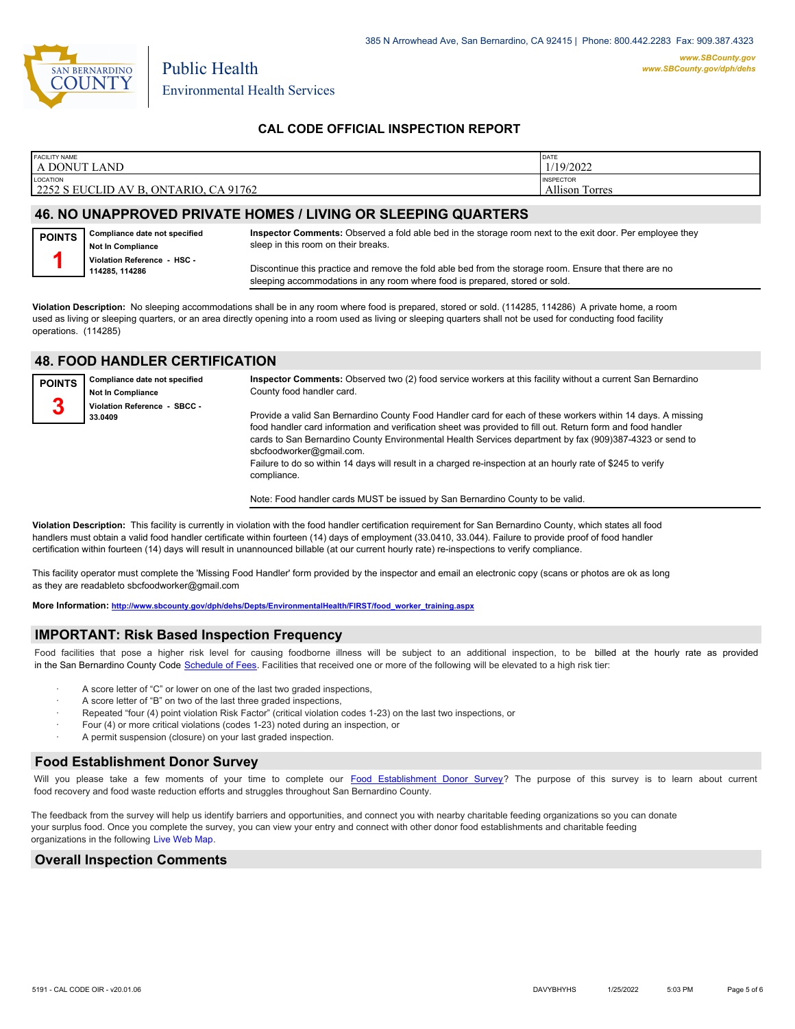

Public Health

## **CAL CODE OFFICIAL INSPECTION REPORT**

| <b>FACILITY NAME</b>                  | DATE                  |
|---------------------------------------|-----------------------|
| A DONUT LAND                          | 1/19/2022             |
| LOCATION                              | <b>INSPECTOR</b>      |
| 2252 S EUCLID AV B, ONTARIO, CA 91762 | <b>Allison Torres</b> |
|                                       |                       |

#### **46. NO UNAPPROVED PRIVATE HOMES / LIVING OR SLEEPING QUARTERS**

| <b>POINTS</b> | Compliance date not specified<br><b>Not In Compliance</b> | Inspector Comments: Observed a fold able bed in the storage room next to the exit door. Per employee they<br>sleep in this room on their breaks.                                      |
|---------------|-----------------------------------------------------------|---------------------------------------------------------------------------------------------------------------------------------------------------------------------------------------|
|               | Violation Reference - HSC -<br>114285, 114286             | Discontinue this practice and remove the fold able bed from the storage room. Ensure that there are no<br>sleeping accommodations in any room where food is prepared, stored or sold. |

**Violation Description:** No sleeping accommodations shall be in any room where food is prepared, stored or sold. (114285, 114286) A private home, a room used as living or sleeping quarters, or an area directly opening into a room used as living or sleeping quarters shall not be used for conducting food facility operations. (114285)

| <b>48. FOOD HANDLER CERTIFICATION</b> |                                                           |                                                                                                                                                                                                                                                                                                                                                                                                                                                                                                 |  |  |
|---------------------------------------|-----------------------------------------------------------|-------------------------------------------------------------------------------------------------------------------------------------------------------------------------------------------------------------------------------------------------------------------------------------------------------------------------------------------------------------------------------------------------------------------------------------------------------------------------------------------------|--|--|
| <b>POINTS</b>                         | Compliance date not specified<br><b>Not In Compliance</b> | Inspector Comments: Observed two (2) food service workers at this facility without a current San Bernardino<br>County food handler card.                                                                                                                                                                                                                                                                                                                                                        |  |  |
| 3                                     | Violation Reference - SBCC -<br>33.0409                   | Provide a valid San Bernardino County Food Handler card for each of these workers within 14 days. A missing<br>food handler card information and verification sheet was provided to fill out. Return form and food handler<br>cards to San Bernardino County Environmental Health Services department by fax (909)387-4323 or send to<br>sbcfoodworker@gmail.com.<br>Failure to do so within 14 days will result in a charged re-inspection at an hourly rate of \$245 to verify<br>compliance. |  |  |

Note: Food handler cards MUST be issued by San Bernardino County to be valid.

**Violation Description:** This facility is currently in violation with the food handler certification requirement for San Bernardino County, which states all food handlers must obtain a valid food handler certificate within fourteen (14) days of employment (33.0410, 33.044). Failure to provide proof of food handler certification within fourteen (14) days will result in unannounced billable (at our current hourly rate) re-inspections to verify compliance.

This facility operator must complete the 'Missing Food Handler' form provided by the inspector and email an electronic copy (scans or photos are ok as long as they are readableto sbcfoodworker@gmail.com

**More Information: [http://www.sbcounty.gov/dph/dehs/Depts/EnvironmentalHealth/FIRST/food\\_worker\\_training.aspx](http://www.sbcounty.gov/dph/dehs/Depts/EnvironmentalHealth/FIRST/food_worker_training.aspx)**

### **IMPORTANT: Risk Based Inspection Frequency**

Food facilities that pose a higher risk level for causing foodborne illness will be subject to an additional inspection, to be billed at the hourly rate as provided in the San Bernardino Count[y Code Schedule of Fees. Facilitie](https://codelibrary.amlegal.com/codes/sanbernardino/latest/sanberncty_ca/0-0-0-122474#JD_16.0213B)s that received one or more of the following will be elevated to a high risk tier:

- A score letter of "C" or lower on one of the last two graded inspections,
- A score letter of "B" on two of the last three graded inspections,
- Repeated "four (4) point violation Risk Factor" (critical violation codes 1-23) on the last two inspections, or
- · Four (4) or more critical violations (codes 1-23) noted during an inspection, or
- A permit suspension (closure) on your last graded inspection.

#### **Food Establishment Donor Survey**

 **48. FOOD HANDLER CERTIFICATION**

Will you please take a few moments of your time to co[mplete our Food Establishment Donor Survey?](https://survey123.arcgis.com/share/626bb0fb21674c82832b0c0d557c5e80?field:faid=FA0013550&field:facility_name=A%20DONUT%20LAND¢er=34.03,-117.65&field:phone=9094581154) The purpose of this survey is to learn about current food recovery and food waste reduction efforts and struggles throughout San Bernardino County.

The feedback from the survey will help us identify barriers and opportunities, and connect you with nearby charitable feeding organizations so you can donate your surplus food. Once you complete the survey, you can view your entry and connect with other donor food establishments and charitable feeding organizations in the fol[lowing Live Web Map.](https://arcg.is/WvjGb)

#### **Overall Inspection Comments**